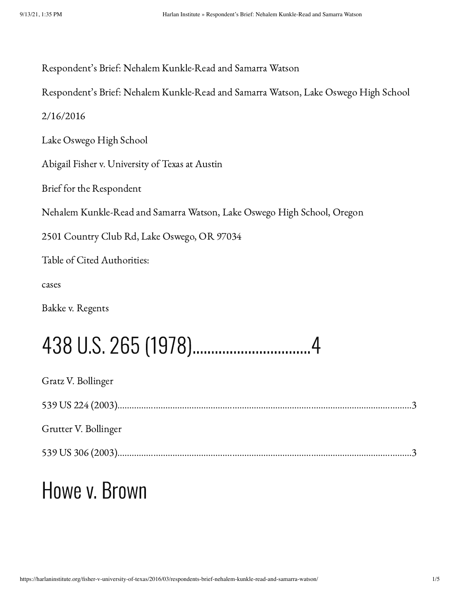| Respondent's Brief: Nehalem Kunkle-Read and Samarra Watson                          |
|-------------------------------------------------------------------------------------|
| Respondent's Brief: Nehalem Kunkle-Read and Samarra Watson, Lake Oswego High School |
| 2/16/2016                                                                           |
| Lake Oswego High School                                                             |
| Abigail Fisher v. University of Texas at Austin                                     |
| Brief for the Respondent                                                            |
| Nehalem Kunkle-Read and Samarra Watson, Lake Oswego High School, Oregon             |
| 2501 Country Club Rd, Lake Oswego, OR 97034                                         |
| Table of Cited Authorities:                                                         |
| cases                                                                               |
| Bakke v. Regents                                                                    |
|                                                                                     |
| Gratz V. Bollinger                                                                  |
|                                                                                     |

Grutter V. Bollinger

539 US 306 (2003)……………………………………………………………………………………………………………3

## Howe v. Brown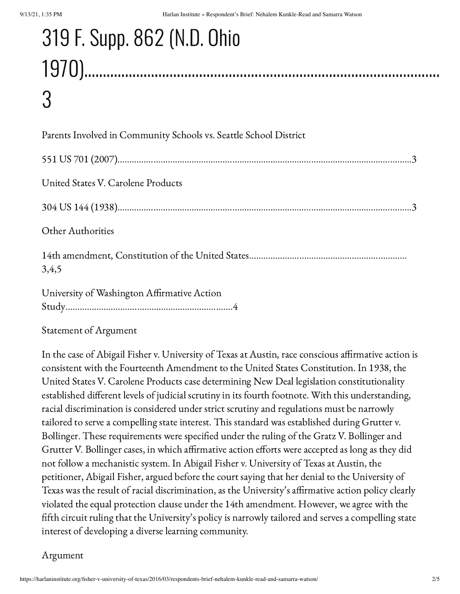# 319 F. Supp. 862 (N.D. Ohio 1970)……………………………………………………………………………………

## 3

Statement of Argument

In the case of Abigail Fisher v. University of Texas at Austin, race conscious affirmative action is consistent with the Fourteenth Amendment to the United States Constitution. In 1938, the United States V. Carolene Products case determining New Deal legislation constitutionality established different levels of judicial scrutiny in its fourth footnote. With this understanding, racial discrimination is considered under strict scrutiny and regulations must be narrowly tailored to serve a compelling state interest. This standard was established during Grutter v. Bollinger. These requirements were specified under the ruling of the Gratz V. Bollinger and Grutter V. Bollinger cases, in which affirmative action efforts were accepted as long as they did not follow a mechanistic system. In Abigail Fisher v. University of Texas at Austin, the petitioner, Abigail Fisher, argued before the court saying that her denial to the University of Texas was the result of racial discrimination, as the University's affirmative action policy clearly violated the equal protection clause under the 14th amendment. However, we agree with the fifth circuit ruling that the University's policy is narrowly tailored and serves a compelling state interest of developing a diverse learning community.

#### Argument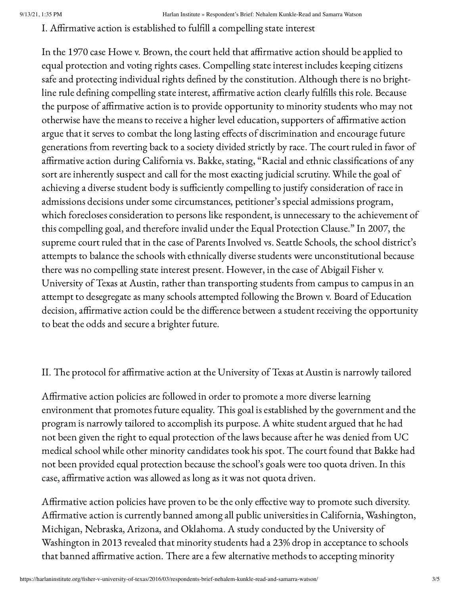I. Affirmative action is established to fulfill a compelling state interest

In the 1970 case Howe v. Brown, the court held that affirmative action should be applied to equal protection and voting rights cases. Compelling state interest includes keeping citizens safe and protecting individual rights defined by the constitution. Although there is no brightline rule defining compelling state interest, affirmative action clearly fulfills this role. Because the purpose of affirmative action is to provide opportunity to minority students who may not otherwise have the means to receive a higher level education, supporters of affirmative action argue that it serves to combat the long lasting effects of discrimination and encourage future generations from reverting back to a society divided strictly by race. The court ruled in favor of affirmative action during California vs. Bakke, stating, "Racial and ethnic classifications of any sort are inherently suspect and call for the most exacting judicial scrutiny. While the goal of achieving a diverse student body is sufficiently compelling to justify consideration of race in admissions decisions under some circumstances, petitioner's special admissions program, which forecloses consideration to persons like respondent, is unnecessary to the achievement of this compelling goal, and therefore invalid under the Equal Protection Clause." In 2007, the supreme court ruled that in the case of Parents Involved vs. Seattle Schools, the school district's attempts to balance the schools with ethnically diverse students were unconstitutional because there was no compelling state interest present. However, in the case of Abigail Fisher v. University of Texas at Austin, rather than transporting students from campus to campus in an attempt to desegregate as many schools attempted following the Brown v. Board of Education decision, affirmative action could be the difference between a student receiving the opportunity to beat the odds and secure a brighter future.

### II. The protocol for affirmative action at the University of Texas at Austin is narrowly tailored

Affirmative action policies are followed in order to promote a more diverse learning environment that promotes future equality. This goal is established by the government and the program is narrowly tailored to accomplish its purpose. A white student argued that he had not been given the right to equal protection of the laws because after he was denied from UC medical school while other minority candidates took his spot. The court found that Bakke had not been provided equal protection because the school's goals were too quota driven. In this case, affirmative action was allowed as long as it was not quota driven.

Affirmative action policies have proven to be the only effective way to promote such diversity. Affirmative action is currently banned among all public universities in California, Washington, Michigan, Nebraska, Arizona, and Oklahoma. A study conducted by the University of Washington in 2013 revealed that minority students had a 23% drop in acceptance to schools that banned affirmative action. There are a few alternative methods to accepting minority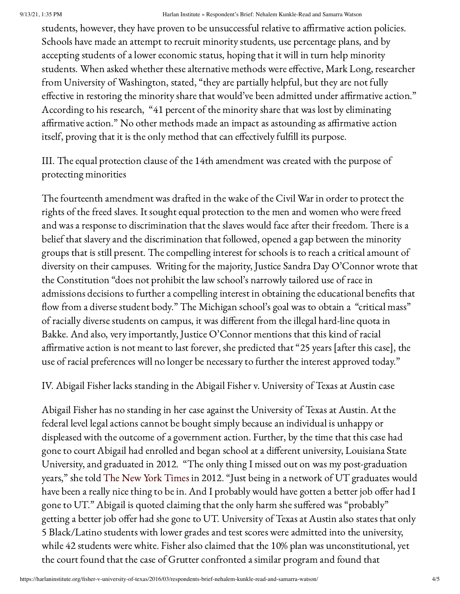#### 9/13/21, 1:35 PM Harlan Institute » Respondent's Brief: Nehalem Kunkle-Read and Samarra Watson

students, however, they have proven to be unsuccessful relative to affirmative action policies. Schools have made an attempt to recruit minority students, use percentage plans, and by accepting students of a lower economic status, hoping that it will in turn help minority students. When asked whether these alternative methods were effective, Mark Long, researcher from University of Washington, stated, "they are partially helpful, but they are not fully effective in restoring the minority share that would've been admitted under affirmative action." According to his research, "41 percent of the minority share that was lost by eliminating affirmative action." No other methods made an impact as astounding as affirmative action itself, proving that it is the only method that can effectively fulfill its purpose.

III. The equal protection clause of the 14th amendment was created with the purpose of protecting minorities

The fourteenth amendment was drafted in the wake of the Civil War in order to protect the rights of the freed slaves. It sought equal protection to the men and women who were freed and was a response to discrimination that the slaves would face after their freedom. There is a belief that slavery and the discrimination that followed, opened a gap between the minority groups that is still present. The compelling interest for schools is to reach a critical amount of diversity on their campuses. Writing for the majority, Justice Sandra Day O'Connor wrote that the Constitution "does not prohibit the law school's narrowly tailored use of race in admissions decisions to further a compelling interest in obtaining the educational benefits that flow from a diverse student body." The Michigan school's goal was to obtain a "critical mass" of racially diverse students on campus, it was different from the illegal hard-line quota in Bakke. And also, very importantly, Justice O'Connor mentions that this kind of racial affirmative action is not meant to last forever, she predicted that "25 years [after this case], the use of racial preferences will no longer be necessary to further the interest approved today."

IV. Abigail Fisher lacks standing in the Abigail Fisher v. University of Texas at Austin case

Abigail Fisher has no standing in her case against the University of Texas at Austin. At the federal level legal actions cannot be bought simply because an individual is unhappy or displeased with the outcome of a government action. Further, by the time that this case had gone to court Abigail had enrolled and began school at a different university, Louisiana State University, and graduated in 2012. "The only thing I missed out on was my post-graduation years," she told The New York [Times](http://www.nytimes.com/2012/10/09/us/supreme-court-to-hear-case-on-affirmative-action.html) in 2012. "Just being in a network of UT graduates would have been a really nice thing to be in. And I probably would have gotten a better job offer had I gone to UT." Abigail is quoted claiming that the only harm she suffered was "probably" getting a better job offer had she gone to UT. University of Texas at Austin also states that only 5 Black/Latino students with lower grades and test scores were admitted into the university, while 42 students were white. Fisher also claimed that the 10% plan was unconstitutional, yet the court found that the case of Grutter confronted a similar program and found that